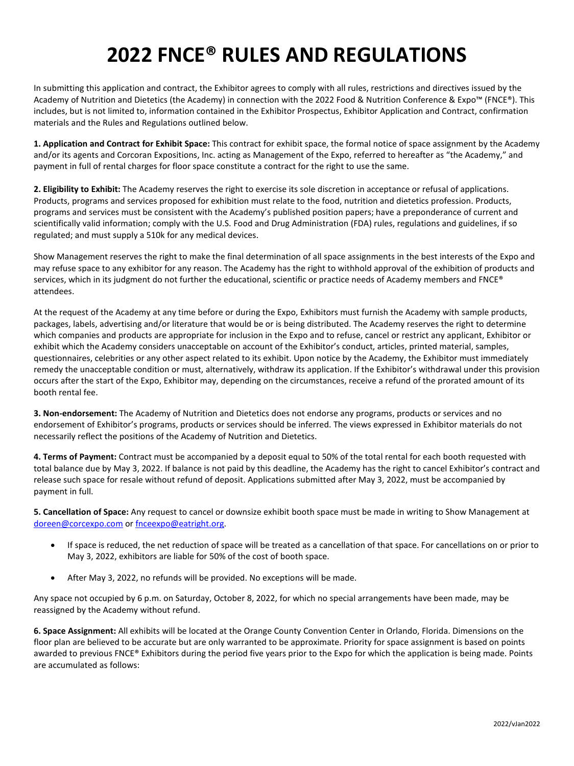# **2022 FNCE® RULES AND REGULATIONS**

In submitting this application and contract, the Exhibitor agrees to comply with all rules, restrictions and directives issued by the Academy of Nutrition and Dietetics (the Academy) in connection with the 2022 Food & Nutrition Conference & Expo™ (FNCE®). This includes, but is not limited to, information contained in the Exhibitor Prospectus, Exhibitor Application and Contract, confirmation materials and the Rules and Regulations outlined below.

**1. Application and Contract for Exhibit Space:** This contract for exhibit space, the formal notice of space assignment by the Academy and/or its agents and Corcoran Expositions, Inc. acting as Management of the Expo, referred to hereafter as "the Academy," and payment in full of rental charges for floor space constitute a contract for the right to use the same.

**2. Eligibility to Exhibit:** The Academy reserves the right to exercise its sole discretion in acceptance or refusal of applications. Products, programs and services proposed for exhibition must relate to the food, nutrition and dietetics profession. Products, programs and services must be consistent with the Academy's published position papers; have a preponderance of current and scientifically valid information; comply with the U.S. Food and Drug Administration (FDA) rules, regulations and guidelines, if so regulated; and must supply a 510k for any medical devices.

Show Management reserves the right to make the final determination of all space assignments in the best interests of the Expo and may refuse space to any exhibitor for any reason. The Academy has the right to withhold approval of the exhibition of products and services, which in its judgment do not further the educational, scientific or practice needs of Academy members and FNCE® attendees.

At the request of the Academy at any time before or during the Expo, Exhibitors must furnish the Academy with sample products, packages, labels, advertising and/or literature that would be or is being distributed. The Academy reserves the right to determine which companies and products are appropriate for inclusion in the Expo and to refuse, cancel or restrict any applicant, Exhibitor or exhibit which the Academy considers unacceptable on account of the Exhibitor's conduct, articles, printed material, samples, questionnaires, celebrities or any other aspect related to its exhibit. Upon notice by the Academy, the Exhibitor must immediately remedy the unacceptable condition or must, alternatively, withdraw its application. If the Exhibitor's withdrawal under this provision occurs after the start of the Expo, Exhibitor may, depending on the circumstances, receive a refund of the prorated amount of its booth rental fee.

**3. Non-endorsement:** The Academy of Nutrition and Dietetics does not endorse any programs, products or services and no endorsement of Exhibitor's programs, products or services should be inferred. The views expressed in Exhibitor materials do not necessarily reflect the positions of the Academy of Nutrition and Dietetics.

**4. Terms of Payment:** Contract must be accompanied by a deposit equal to 50% of the total rental for each booth requested with total balance due by May 3, 2022. If balance is not paid by this deadline, the Academy has the right to cancel Exhibitor's contract and release such space for resale without refund of deposit. Applications submitted after May 3, 2022, must be accompanied by payment in full.

**5. Cancellation of Space:** Any request to cancel or downsize exhibit booth space must be made in writing to Show Management at [doreen@corcexpo.com](mailto:doreen@corcexpo.com) o[r fnceexpo@eatright.org.](mailto:fnceexpo@eatright.org)

- If space is reduced, the net reduction of space will be treated as a cancellation of that space. For cancellations on or prior to May 3, 2022, exhibitors are liable for 50% of the cost of booth space.
- After May 3, 2022, no refunds will be provided. No exceptions will be made.

Any space not occupied by 6 p.m. on Saturday, October 8, 2022, for which no special arrangements have been made, may be reassigned by the Academy without refund.

**6. Space Assignment:** All exhibits will be located at the Orange County Convention Center in Orlando, Florida. Dimensions on the floor plan are believed to be accurate but are only warranted to be approximate. Priority for space assignment is based on points awarded to previous FNCE® Exhibitors during the period five years prior to the Expo for which the application is being made. Points are accumulated as follows: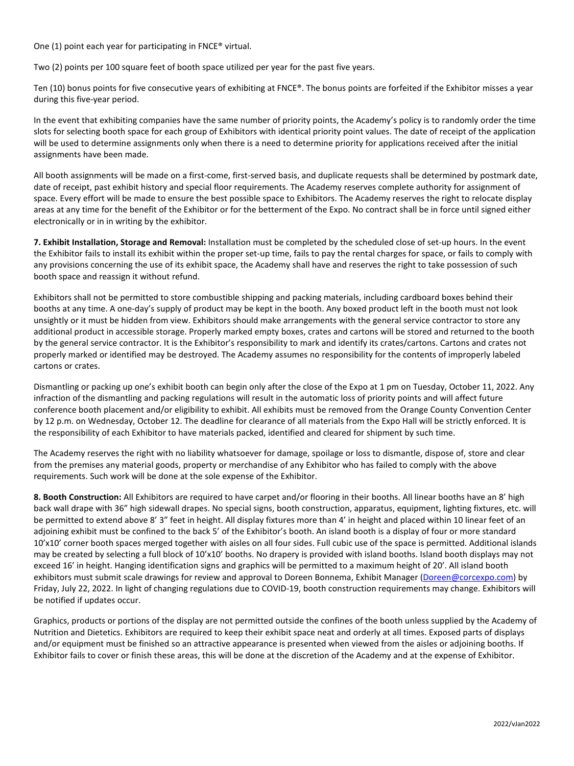One (1) point each year for participating in FNCE® virtual.

Two (2) points per 100 square feet of booth space utilized per year for the past five years.

Ten (10) bonus points for five consecutive years of exhibiting at FNCE®. The bonus points are forfeited if the Exhibitor misses a year during this five-year period.

In the event that exhibiting companies have the same number of priority points, the Academy's policy is to randomly order the time slots for selecting booth space for each group of Exhibitors with identical priority point values. The date of receipt of the application will be used to determine assignments only when there is a need to determine priority for applications received after the initial assignments have been made.

All booth assignments will be made on a first-come, first-served basis, and duplicate requests shall be determined by postmark date, date of receipt, past exhibit history and special floor requirements. The Academy reserves complete authority for assignment of space. Every effort will be made to ensure the best possible space to Exhibitors. The Academy reserves the right to relocate display areas at any time for the benefit of the Exhibitor or for the betterment of the Expo. No contract shall be in force until signed either electronically or in in writing by the exhibitor.

**7. Exhibit Installation, Storage and Removal:** Installation must be completed by the scheduled close of set-up hours. In the event the Exhibitor fails to install its exhibit within the proper set-up time, fails to pay the rental charges for space, or fails to comply with any provisions concerning the use of its exhibit space, the Academy shall have and reserves the right to take possession of such booth space and reassign it without refund.

Exhibitors shall not be permitted to store combustible shipping and packing materials, including cardboard boxes behind their booths at any time. A one-day's supply of product may be kept in the booth. Any boxed product left in the booth must not look unsightly or it must be hidden from view. Exhibitors should make arrangements with the general service contractor to store any additional product in accessible storage. Properly marked empty boxes, crates and cartons will be stored and returned to the booth by the general service contractor. It is the Exhibitor's responsibility to mark and identify its crates/cartons. Cartons and crates not properly marked or identified may be destroyed. The Academy assumes no responsibility for the contents of improperly labeled cartons or crates.

Dismantling or packing up one's exhibit booth can begin only after the close of the Expo at 1 pm on Tuesday, October 11, 2022. Any infraction of the dismantling and packing regulations will result in the automatic loss of priority points and will affect future conference booth placement and/or eligibility to exhibit. All exhibits must be removed from the Orange County Convention Center by 12 p.m. on Wednesday, October 12. The deadline for clearance of all materials from the Expo Hall will be strictly enforced. It is the responsibility of each Exhibitor to have materials packed, identified and cleared for shipment by such time.

The Academy reserves the right with no liability whatsoever for damage, spoilage or loss to dismantle, dispose of, store and clear from the premises any material goods, property or merchandise of any Exhibitor who has failed to comply with the above requirements. Such work will be done at the sole expense of the Exhibitor.

**8. Booth Construction:** All Exhibitors are required to have carpet and/or flooring in their booths. All linear booths have an 8' high back wall drape with 36" high sidewall drapes. No special signs, booth construction, apparatus, equipment, lighting fixtures, etc. will be permitted to extend above 8' 3" feet in height. All display fixtures more than 4' in height and placed within 10 linear feet of an adjoining exhibit must be confined to the back 5' of the Exhibitor's booth. An island booth is a display of four or more standard 10'x10' corner booth spaces merged together with aisles on all four sides. Full cubic use of the space is permitted. Additional islands may be created by selecting a full block of 10'x10' booths. No drapery is provided with island booths. Island booth displays may not exceed 16' in height. Hanging identification signs and graphics will be permitted to a maximum height of 20'. All island booth exhibitors must submit scale drawings for review and approval to Doreen Bonnema, Exhibit Manager [\(Doreen@corcexpo.com\)](mailto:Doreen@corcexpo.com) by Friday, July 22, 2022. In light of changing regulations due to COVID-19, booth construction requirements may change. Exhibitors will be notified if updates occur.

Graphics, products or portions of the display are not permitted outside the confines of the booth unless supplied by the Academy of Nutrition and Dietetics. Exhibitors are required to keep their exhibit space neat and orderly at all times. Exposed parts of displays and/or equipment must be finished so an attractive appearance is presented when viewed from the aisles or adjoining booths. If Exhibitor fails to cover or finish these areas, this will be done at the discretion of the Academy and at the expense of Exhibitor.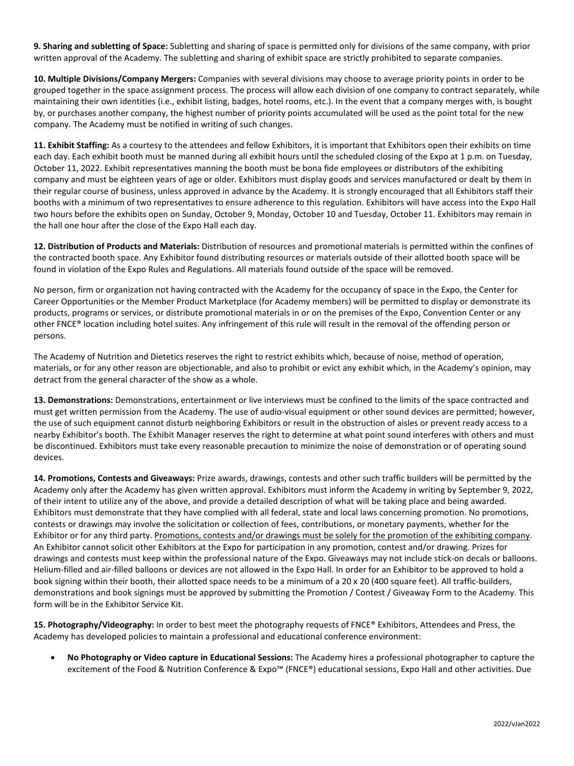**9. Sharing and subletting of Space:** Subletting and sharing of space is permitted only for divisions of the same company, with prior written approval of the Academy. The subletting and sharing of exhibit space are strictly prohibited to separate companies.

**10. Multiple Divisions/Company Mergers:** Companies with several divisions may choose to average priority points in order to be grouped together in the space assignment process. The process will allow each division of one company to contract separately, while maintaining their own identities (i.e., exhibit listing, badges, hotel rooms, etc.). In the event that a company merges with, is bought by, or purchases another company, the highest number of priority points accumulated will be used as the point total for the new company. The Academy must be notified in writing of such changes.

**11. Exhibit Staffing:** As a courtesy to the attendees and fellow Exhibitors, it is important that Exhibitors open their exhibits on time each day. Each exhibit booth must be manned during all exhibit hours until the scheduled closing of the Expo at 1 p.m. on Tuesday, October 11, 2022. Exhibit representatives manning the booth must be bona fide employees or distributors of the exhibiting company and must be eighteen years of age or older. Exhibitors must display goods and services manufactured or dealt by them in their regular course of business, unless approved in advance by the Academy. It is strongly encouraged that all Exhibitors staff their booths with a minimum of two representatives to ensure adherence to this regulation. Exhibitors will have access into the Expo Hall two hours before the exhibits open on Sunday, October 9, Monday, October 10 and Tuesday, October 11. Exhibitors may remain in the hall one hour after the close of the Expo Hall each day.

**12. Distribution of Products and Materials:** Distribution of resources and promotional materials is permitted within the confines of the contracted booth space. Any Exhibitor found distributing resources or materials outside of their allotted booth space will be found in violation of the Expo Rules and Regulations. All materials found outside of the space will be removed.

No person, firm or organization not having contracted with the Academy for the occupancy of space in the Expo, the Center for Career Opportunities or the Member Product Marketplace (for Academy members) will be permitted to display or demonstrate its products, programs or services, or distribute promotional materials in or on the premises of the Expo, Convention Center or any other FNCE® location including hotel suites. Any infringement of this rule will result in the removal of the offending person or persons.

The Academy of Nutrition and Dietetics reserves the right to restrict exhibits which, because of noise, method of operation, materials, or for any other reason are objectionable, and also to prohibit or evict any exhibit which, in the Academy's opinion, may detract from the general character of the show as a whole.

**13. Demonstrations:** Demonstrations, entertainment or live interviews must be confined to the limits of the space contracted and must get written permission from the Academy. The use of audio-visual equipment or other sound devices are permitted; however, the use of such equipment cannot disturb neighboring Exhibitors or result in the obstruction of aisles or prevent ready access to a nearby Exhibitor's booth. The Exhibit Manager reserves the right to determine at what point sound interferes with others and must be discontinued. Exhibitors must take every reasonable precaution to minimize the noise of demonstration or of operating sound devices.

**14. Promotions, Contests and Giveaways:** Prize awards, drawings, contests and other such traffic builders will be permitted by the Academy only after the Academy has given written approval. Exhibitors must inform the Academy in writing by September 9, 2022, of their intent to utilize any of the above, and provide a detailed description of what will be taking place and being awarded. Exhibitors must demonstrate that they have complied with all federal, state and local laws concerning promotion. No promotions, contests or drawings may involve the solicitation or collection of fees, contributions, or monetary payments, whether for the Exhibitor or for any third party. Promotions, contests and/or drawings must be solely for the promotion of the exhibiting company. An Exhibitor cannot solicit other Exhibitors at the Expo for participation in any promotion, contest and/or drawing. Prizes for drawings and contests must keep within the professional nature of the Expo. Giveaways may not include stick-on decals or balloons. Helium-filled and air-filled balloons or devices are not allowed in the Expo Hall. In order for an Exhibitor to be approved to hold a book signing within their booth, their allotted space needs to be a minimum of a 20 x 20 (400 square feet). All traffic-builders, demonstrations and book signings must be approved by submitting the Promotion / Contest / Giveaway Form to the Academy. This form will be in the Exhibitor Service Kit.

**15. Photography/Videography:** In order to best meet the photography requests of FNCE® Exhibitors, Attendees and Press, the Academy has developed policies to maintain a professional and educational conference environment:

• **No Photography or Video capture in Educational Sessions:** The Academy hires a professional photographer to capture the excitement of the Food & Nutrition Conference & Expo™ (FNCE®) educational sessions, Expo Hall and other activities. Due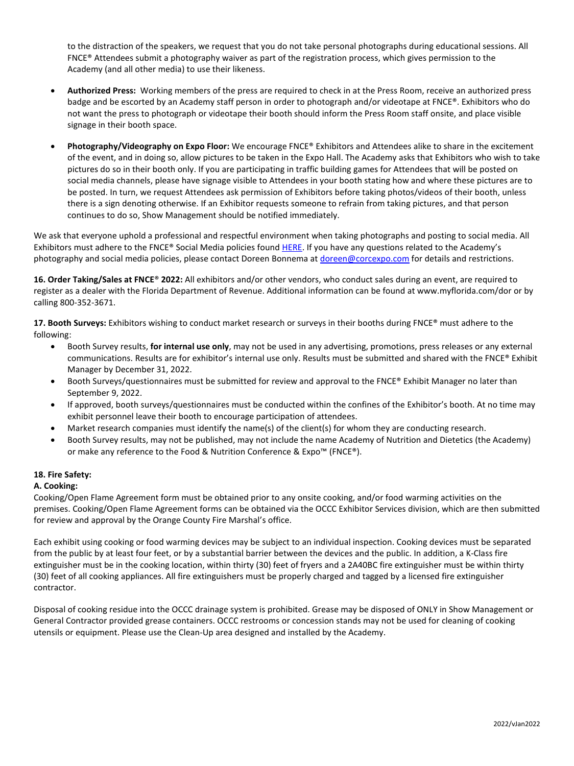to the distraction of the speakers, we request that you do not take personal photographs during educational sessions. All FNCE® Attendees submit a photography waiver as part of the registration process, which gives permission to the Academy (and all other media) to use their likeness.

- **Authorized Press:** Working members of the press are required to check in at the Press Room, receive an authorized press badge and be escorted by an Academy staff person in order to photograph and/or videotape at FNCE®. Exhibitors who do not want the press to photograph or videotape their booth should inform the Press Room staff onsite, and place visible signage in their booth space.
- **Photography/Videography on Expo Floor:** We encourage FNCE® Exhibitors and Attendees alike to share in the excitement of the event, and in doing so, allow pictures to be taken in the Expo Hall. The Academy asks that Exhibitors who wish to take pictures do so in their booth only. If you are participating in traffic building games for Attendees that will be posted on social media channels, please have signage visible to Attendees in your booth stating how and where these pictures are to be posted. In turn, we request Attendees ask permission of Exhibitors before taking photos/videos of their booth, unless there is a sign denoting otherwise. If an Exhibitor requests someone to refrain from taking pictures, and that person continues to do so, Show Management should be notified immediately.

We ask that everyone uphold a professional and respectful environment when taking photographs and posting to social media. All Exhibitors must adhere to the FNCE® Social Media policies foun[d HERE.](https://eatrightfnce.org/wp-content/uploads/2020/09/FNCE-Social-Media-Policy-for-Exhibitors-and-Sponsors.pdf) If you have any questions related to the Academy's photography and social media policies, please contact Doreen Bonnema a[t doreen@corcexpo.com](mailto:doreen@corcexpo.com) for details and restrictions.

**16. Order Taking/Sales at FNCE**® **2022:** All exhibitors and/or other vendors, who conduct sales during an event, are required to register as a dealer with the Florida Department of Revenue. Additional information can be found at www.myflorida.com/dor or by calling 800-352-3671.

**17. Booth Surveys:** Exhibitors wishing to conduct market research or surveys in their booths during FNCE® must adhere to the following:

- Booth Survey results, **for internal use only**, may not be used in any advertising, promotions, press releases or any external communications. Results are for exhibitor's internal use only. Results must be submitted and shared with the FNCE® Exhibit Manager by December 31, 2022.
- Booth Surveys/questionnaires must be submitted for review and approval to the FNCE® Exhibit Manager no later than September 9, 2022.
- If approved, booth surveys/questionnaires must be conducted within the confines of the Exhibitor's booth. At no time may exhibit personnel leave their booth to encourage participation of attendees.
- Market research companies must identify the name(s) of the client(s) for whom they are conducting research.
- Booth Survey results, may not be published, may not include the name Academy of Nutrition and Dietetics (the Academy) or make any reference to the Food & Nutrition Conference & Expo™ (FNCE®).

# **18. Fire Safety:**

# **A. Cooking:**

Cooking/Open Flame Agreement form must be obtained prior to any onsite cooking, and/or food warming activities on the premises. Cooking/Open Flame Agreement forms can be obtained via the OCCC Exhibitor Services division, which are then submitted for review and approval by the Orange County Fire Marshal's office.

Each exhibit using cooking or food warming devices may be subject to an individual inspection. Cooking devices must be separated from the public by at least four feet, or by a substantial barrier between the devices and the public. In addition, a K-Class fire extinguisher must be in the cooking location, within thirty (30) feet of fryers and a 2A40BC fire extinguisher must be within thirty (30) feet of all cooking appliances. All fire extinguishers must be properly charged and tagged by a licensed fire extinguisher contractor.

Disposal of cooking residue into the OCCC drainage system is prohibited. Grease may be disposed of ONLY in Show Management or General Contractor provided grease containers. OCCC restrooms or concession stands may not be used for cleaning of cooking utensils or equipment. Please use the Clean-Up area designed and installed by the Academy.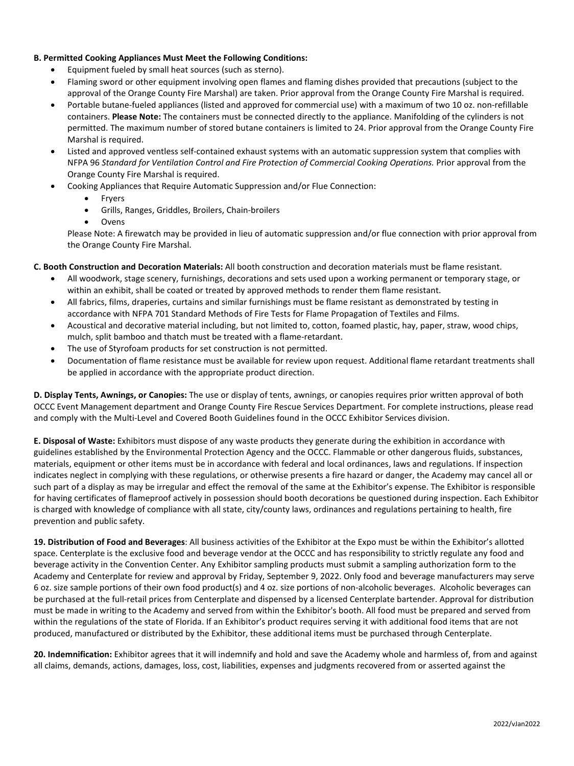### **B. Permitted Cooking Appliances Must Meet the Following Conditions:**

- Equipment fueled by small heat sources (such as sterno).
- Flaming sword or other equipment involving open flames and flaming dishes provided that precautions (subject to the approval of the Orange County Fire Marshal) are taken. Prior approval from the Orange County Fire Marshal is required.
- Portable butane-fueled appliances (listed and approved for commercial use) with a maximum of two 10 oz. non-refillable containers. **Please Note:** The containers must be connected directly to the appliance. Manifolding of the cylinders is not permitted. The maximum number of stored butane containers is limited to 24. Prior approval from the Orange County Fire Marshal is required.
- Listed and approved ventless self-contained exhaust systems with an automatic suppression system that complies with NFPA 96 *Standard for Ventilation Control and Fire Protection of Commercial Cooking Operations.* Prior approval from the Orange County Fire Marshal is required.
- Cooking Appliances that Require Automatic Suppression and/or Flue Connection:
	- Fryers
	- Grills, Ranges, Griddles, Broilers, Chain-broilers
	- **Ovens**

Please Note: A firewatch may be provided in lieu of automatic suppression and/or flue connection with prior approval from the Orange County Fire Marshal.

### **C. Booth Construction and Decoration Materials:** All booth construction and decoration materials must be flame resistant.

- All woodwork, stage scenery, furnishings, decorations and sets used upon a working permanent or temporary stage, or within an exhibit, shall be coated or treated by approved methods to render them flame resistant.
- All fabrics, films, draperies, curtains and similar furnishings must be flame resistant as demonstrated by testing in accordance with NFPA 701 Standard Methods of Fire Tests for Flame Propagation of Textiles and Films.
- Acoustical and decorative material including, but not limited to, cotton, foamed plastic, hay, paper, straw, wood chips, mulch, split bamboo and thatch must be treated with a flame-retardant.
- The use of Styrofoam products for set construction is not permitted.
- Documentation of flame resistance must be available for review upon request. Additional flame retardant treatments shall be applied in accordance with the appropriate product direction.

**D. Display Tents, Awnings, or Canopies:** The use or display of tents, awnings, or canopies requires prior written approval of both OCCC Event Management department and Orange County Fire Rescue Services Department. For complete instructions, please read and comply with the Multi-Level and Covered Booth Guidelines found in the OCCC Exhibitor Services division.

**E. Disposal of Waste:** Exhibitors must dispose of any waste products they generate during the exhibition in accordance with guidelines established by the Environmental Protection Agency and the OCCC. Flammable or other dangerous fluids, substances, materials, equipment or other items must be in accordance with federal and local ordinances, laws and regulations. If inspection indicates neglect in complying with these regulations, or otherwise presents a fire hazard or danger, the Academy may cancel all or such part of a display as may be irregular and effect the removal of the same at the Exhibitor's expense. The Exhibitor is responsible for having certificates of flameproof actively in possession should booth decorations be questioned during inspection. Each Exhibitor is charged with knowledge of compliance with all state, city/county laws, ordinances and regulations pertaining to health, fire prevention and public safety.

**19. Distribution of Food and Beverages**: All business activities of the Exhibitor at the Expo must be within the Exhibitor's allotted space. Centerplate is the exclusive food and beverage vendor at the OCCC and has responsibility to strictly regulate any food and beverage activity in the Convention Center. Any Exhibitor sampling products must submit a sampling authorization form to the Academy and Centerplate for review and approval by Friday, September 9, 2022. Only food and beverage manufacturers may serve 6 oz. size sample portions of their own food product(s) and 4 oz. size portions of non-alcoholic beverages. Alcoholic beverages can be purchased at the full-retail prices from Centerplate and dispensed by a licensed Centerplate bartender. Approval for distribution must be made in writing to the Academy and served from within the Exhibitor's booth. All food must be prepared and served from within the regulations of the state of Florida. If an Exhibitor's product requires serving it with additional food items that are not produced, manufactured or distributed by the Exhibitor, these additional items must be purchased through Centerplate.

**20. Indemnification:** Exhibitor agrees that it will indemnify and hold and save the Academy whole and harmless of, from and against all claims, demands, actions, damages, loss, cost, liabilities, expenses and judgments recovered from or asserted against the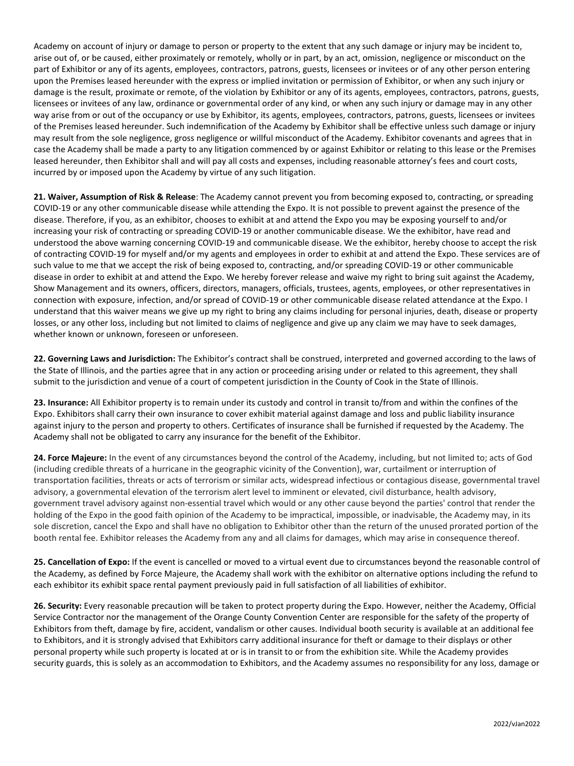Academy on account of injury or damage to person or property to the extent that any such damage or injury may be incident to, arise out of, or be caused, either proximately or remotely, wholly or in part, by an act, omission, negligence or misconduct on the part of Exhibitor or any of its agents, employees, contractors, patrons, guests, licensees or invitees or of any other person entering upon the Premises leased hereunder with the express or implied invitation or permission of Exhibitor, or when any such injury or damage is the result, proximate or remote, of the violation by Exhibitor or any of its agents, employees, contractors, patrons, guests, licensees or invitees of any law, ordinance or governmental order of any kind, or when any such injury or damage may in any other way arise from or out of the occupancy or use by Exhibitor, its agents, employees, contractors, patrons, guests, licensees or invitees of the Premises leased hereunder. Such indemnification of the Academy by Exhibitor shall be effective unless such damage or injury may result from the sole negligence, gross negligence or willful misconduct of the Academy. Exhibitor covenants and agrees that in case the Academy shall be made a party to any litigation commenced by or against Exhibitor or relating to this lease or the Premises leased hereunder, then Exhibitor shall and will pay all costs and expenses, including reasonable attorney's fees and court costs, incurred by or imposed upon the Academy by virtue of any such litigation.

**21. Waiver, Assumption of Risk & Release**: The Academy cannot prevent you from becoming exposed to, contracting, or spreading COVID-19 or any other communicable disease while attending the Expo. It is not possible to prevent against the presence of the disease. Therefore, if you, as an exhibitor, chooses to exhibit at and attend the Expo you may be exposing yourself to and/or increasing your risk of contracting or spreading COVID-19 or another communicable disease. We the exhibitor, have read and understood the above warning concerning COVID-19 and communicable disease. We the exhibitor, hereby choose to accept the risk of contracting COVID-19 for myself and/or my agents and employees in order to exhibit at and attend the Expo. These services are of such value to me that we accept the risk of being exposed to, contracting, and/or spreading COVID-19 or other communicable disease in order to exhibit at and attend the Expo. We hereby forever release and waive my right to bring suit against the Academy, Show Management and its owners, officers, directors, managers, officials, trustees, agents, employees, or other representatives in connection with exposure, infection, and/or spread of COVID-19 or other communicable disease related attendance at the Expo. I understand that this waiver means we give up my right to bring any claims including for personal injuries, death, disease or property losses, or any other loss, including but not limited to claims of negligence and give up any claim we may have to seek damages, whether known or unknown, foreseen or unforeseen.

**22. Governing Laws and Jurisdiction:** The Exhibitor's contract shall be construed, interpreted and governed according to the laws of the State of Illinois, and the parties agree that in any action or proceeding arising under or related to this agreement, they shall submit to the jurisdiction and venue of a court of competent jurisdiction in the County of Cook in the State of Illinois.

**23. Insurance:** All Exhibitor property is to remain under its custody and control in transit to/from and within the confines of the Expo. Exhibitors shall carry their own insurance to cover exhibit material against damage and loss and public liability insurance against injury to the person and property to others. Certificates of insurance shall be furnished if requested by the Academy. The Academy shall not be obligated to carry any insurance for the benefit of the Exhibitor.

**24. Force Majeure:** In the event of any circumstances beyond the control of the Academy, including, but not limited to; acts of God (including credible threats of a hurricane in the geographic vicinity of the Convention), war, curtailment or interruption of transportation facilities, threats or acts of terrorism or similar acts, widespread infectious or contagious disease, governmental travel advisory, a governmental elevation of the terrorism alert level to imminent or elevated, civil disturbance, health advisory, government travel advisory against non-essential travel which would or any other cause beyond the parties' control that render the holding of the Expo in the good faith opinion of the Academy to be impractical, impossible, or inadvisable, the Academy may, in its sole discretion, cancel the Expo and shall have no obligation to Exhibitor other than the return of the unused prorated portion of the booth rental fee. Exhibitor releases the Academy from any and all claims for damages, which may arise in consequence thereof.

**25. Cancellation of Expo:** If the event is cancelled or moved to a virtual event due to circumstances beyond the reasonable control of the Academy, as defined by Force Majeure, the Academy shall work with the exhibitor on alternative options including the refund to each exhibitor its exhibit space rental payment previously paid in full satisfaction of all liabilities of exhibitor.

**26. Security:** Every reasonable precaution will be taken to protect property during the Expo. However, neither the Academy, Official Service Contractor nor the management of the Orange County Convention Center are responsible for the safety of the property of Exhibitors from theft, damage by fire, accident, vandalism or other causes. Individual booth security is available at an additional fee to Exhibitors, and it is strongly advised that Exhibitors carry additional insurance for theft or damage to their displays or other personal property while such property is located at or is in transit to or from the exhibition site. While the Academy provides security guards, this is solely as an accommodation to Exhibitors, and the Academy assumes no responsibility for any loss, damage or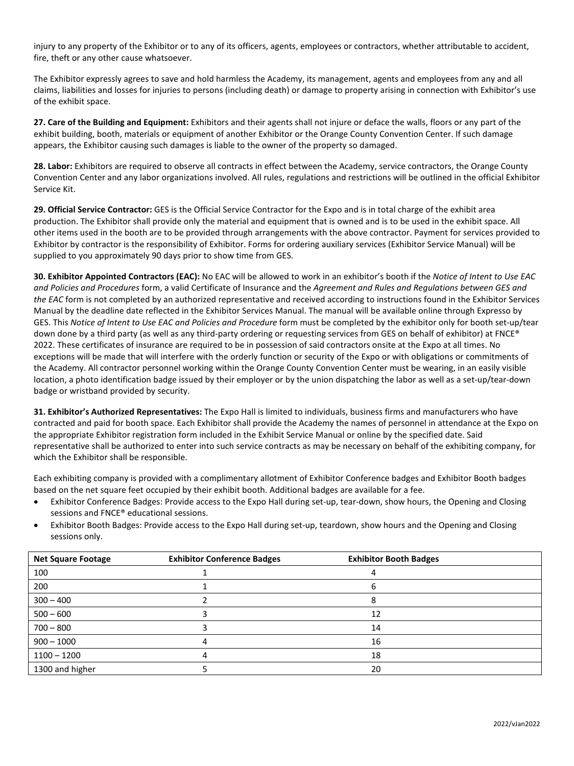injury to any property of the Exhibitor or to any of its officers, agents, employees or contractors, whether attributable to accident, fire, theft or any other cause whatsoever.

The Exhibitor expressly agrees to save and hold harmless the Academy, its management, agents and employees from any and all claims, liabilities and losses for injuries to persons (including death) or damage to property arising in connection with Exhibitor's use of the exhibit space.

**27. Care of the Building and Equipment:** Exhibitors and their agents shall not injure or deface the walls, floors or any part of the exhibit building, booth, materials or equipment of another Exhibitor or the Orange County Convention Center. If such damage appears, the Exhibitor causing such damages is liable to the owner of the property so damaged.

28. Labor: Exhibitors are required to observe all contracts in effect between the Academy, service contractors, the Orange County Convention Center and any labor organizations involved. All rules, regulations and restrictions will be outlined in the official Exhibitor Service Kit.

**29. Official Service Contractor:** GES is the Official Service Contractor for the Expo and is in total charge of the exhibit area production. The Exhibitor shall provide only the material and equipment that is owned and is to be used in the exhibit space. All other items used in the booth are to be provided through arrangements with the above contractor. Payment for services provided to Exhibitor by contractor is the responsibility of Exhibitor. Forms for ordering auxiliary services (Exhibitor Service Manual) will be supplied to you approximately 90 days prior to show time from GES.

**30. Exhibitor Appointed Contractors (EAC):** No EAC will be allowed to work in an exhibitor's booth if the *Notice of Intent to Use EAC and Policies and Procedures* form, a valid Certificate of Insurance and the *Agreement and Rules and Regulations between GES and the EAC* form is not completed by an authorized representative and received according to instructions found in the Exhibitor Services Manual by the deadline date reflected in the Exhibitor Services Manual. The manual will be available online through Expresso by GES. This *Notice of Intent to Use EAC and Policies and Procedure* form must be completed by the exhibitor only for booth set-up/tear down done by a third party (as well as any third-party ordering or requesting services from GES on behalf of exhibitor) at FNCE® 2022. These certificates of insurance are required to be in possession of said contractors onsite at the Expo at all times. No exceptions will be made that will interfere with the orderly function or security of the Expo or with obligations or commitments of the Academy. All contractor personnel working within the Orange County Convention Center must be wearing, in an easily visible location, a photo identification badge issued by their employer or by the union dispatching the labor as well as a set-up/tear-down badge or wristband provided by security.

**31. Exhibitor's Authorized Representatives:** The Expo Hall is limited to individuals, business firms and manufacturers who have contracted and paid for booth space. Each Exhibitor shall provide the Academy the names of personnel in attendance at the Expo on the appropriate Exhibitor registration form included in the Exhibit Service Manual or online by the specified date. Said representative shall be authorized to enter into such service contracts as may be necessary on behalf of the exhibiting company, for which the Exhibitor shall be responsible.

Each exhibiting company is provided with a complimentary allotment of Exhibitor Conference badges and Exhibitor Booth badges based on the net square feet occupied by their exhibit booth. Additional badges are available for a fee.

- Exhibitor Conference Badges: Provide access to the Expo Hall during set-up, tear-down, show hours, the Opening and Closing sessions and FNCE® educational sessions.
- Exhibitor Booth Badges: Provide access to the Expo Hall during set-up, teardown, show hours and the Opening and Closing sessions only.

| <b>Net Square Footage</b> | <b>Exhibitor Conference Badges</b> | <b>Exhibitor Booth Badges</b> |  |
|---------------------------|------------------------------------|-------------------------------|--|
| 100                       |                                    |                               |  |
| 200                       |                                    |                               |  |
| $300 - 400$               |                                    |                               |  |
| $500 - 600$               |                                    | 12                            |  |
| $700 - 800$               |                                    | 14                            |  |
| $900 - 1000$              |                                    | 16                            |  |
| $1100 - 1200$             |                                    | 18                            |  |
| 1300 and higher           |                                    | 20                            |  |